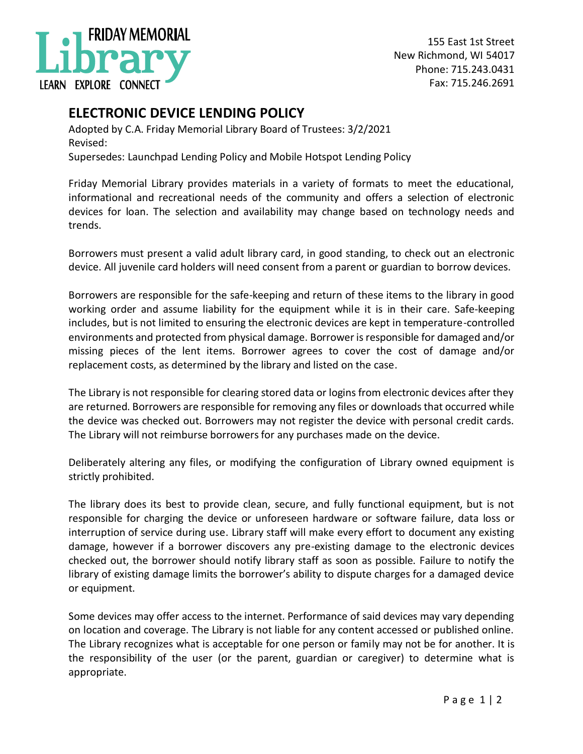

155 East 1st Street New Richmond, WI 54017 Phone: 715.243.0431 Fax: 715.246.2691

## **ELECTRONIC DEVICE LENDING POLICY**

Adopted by C.A. Friday Memorial Library Board of Trustees: 3/2/2021 Revised: Supersedes: Launchpad Lending Policy and Mobile Hotspot Lending Policy

Friday Memorial Library provides materials in a variety of formats to meet the educational, informational and recreational needs of the community and offers a selection of electronic devices for loan. The selection and availability may change based on technology needs and trends.

Borrowers must present a valid adult library card, in good standing, to check out an electronic device. All juvenile card holders will need consent from a parent or guardian to borrow devices.

Borrowers are responsible for the safe-keeping and return of these items to the library in good working order and assume liability for the equipment while it is in their care. Safe-keeping includes, but is not limited to ensuring the electronic devices are kept in temperature-controlled environments and protected from physical damage. Borrower is responsible for damaged and/or missing pieces of the lent items. Borrower agrees to cover the cost of damage and/or replacement costs, as determined by the library and listed on the case.

The Library is not responsible for clearing stored data or logins from electronic devices after they are returned. Borrowers are responsible for removing any files or downloads that occurred while the device was checked out. Borrowers may not register the device with personal credit cards. The Library will not reimburse borrowers for any purchases made on the device.

Deliberately altering any files, or modifying the configuration of Library owned equipment is strictly prohibited.

The library does its best to provide clean, secure, and fully functional equipment, but is not responsible for charging the device or unforeseen hardware or software failure, data loss or interruption of service during use. Library staff will make every effort to document any existing damage, however if a borrower discovers any pre-existing damage to the electronic devices checked out, the borrower should notify library staff as soon as possible. Failure to notify the library of existing damage limits the borrower's ability to dispute charges for a damaged device or equipment.

Some devices may offer access to the internet. Performance of said devices may vary depending on location and coverage. The Library is not liable for any content accessed or published online. The Library recognizes what is acceptable for one person or family may not be for another. It is the responsibility of the user (or the parent, guardian or caregiver) to determine what is appropriate.